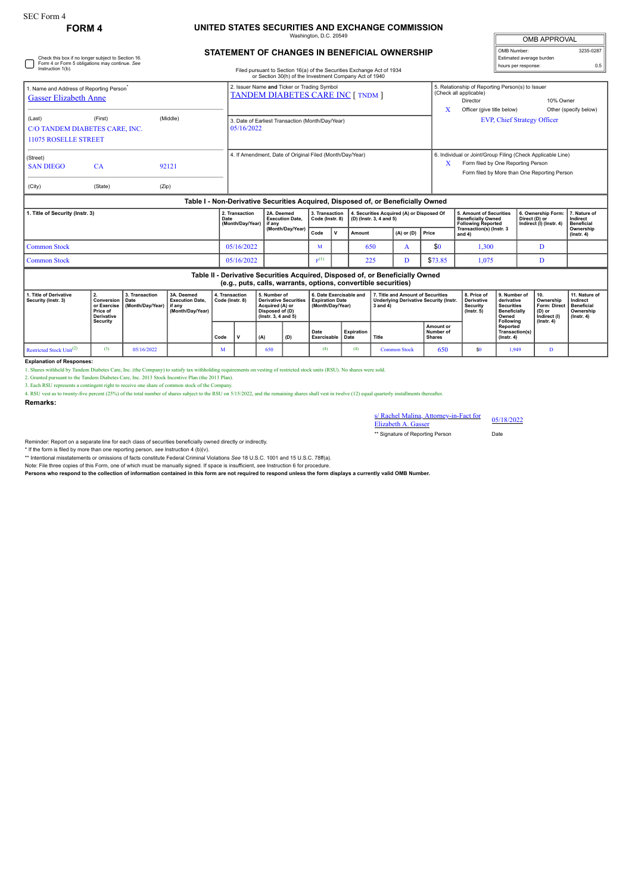## **FORM 4 UNITED STATES SECURITIES AND EXCHANGE COMMISSION** Washington, D.C. 20549

**STATEMENT OF CHANGES IN BENEFICIAL OWNERSHIP**

| <b>OMB APPROVAL</b>      |           |  |  |  |  |  |  |  |
|--------------------------|-----------|--|--|--|--|--|--|--|
| OMB Number:              | 3235-0287 |  |  |  |  |  |  |  |
| Estimated average burden |           |  |  |  |  |  |  |  |
| hours per response:      | 0.5       |  |  |  |  |  |  |  |

| Check this box if no longer subject to Section 16.<br>Form 4 or Form 5 obligations may continue. See<br>Instruction 1(b).                                                  |                |                                                                                                                                                                                                                     | Filed pursuant to Section 16(a) of the Securities Exchange Act of 1934 |                                   |     | Estimated average burden<br>0.5<br>hours per response:               |                |                                                                                                                                                   |                                                                                                                                                                                                       |                                                                |                                               |  |
|----------------------------------------------------------------------------------------------------------------------------------------------------------------------------|----------------|---------------------------------------------------------------------------------------------------------------------------------------------------------------------------------------------------------------------|------------------------------------------------------------------------|-----------------------------------|-----|----------------------------------------------------------------------|----------------|---------------------------------------------------------------------------------------------------------------------------------------------------|-------------------------------------------------------------------------------------------------------------------------------------------------------------------------------------------------------|----------------------------------------------------------------|-----------------------------------------------|--|
| 1. Name and Address of Reporting Person <sup>*</sup><br><b>Gasser Elizabeth Anne</b><br>(Last)<br>(First)<br>C/O TANDEM DIABETES CARE, INC.<br><b>11075 ROSELLE STREET</b> |                | or Section 30(h) of the Investment Company Act of 1940<br>2. Issuer Name and Ticker or Trading Symbol<br><b>TANDEM DIABETES CARE INC [ TNDM ]</b><br>3. Date of Earliest Transaction (Month/Day/Year)<br>05/16/2022 |                                                                        |                                   |     |                                                                      |                |                                                                                                                                                   | 5. Relationship of Reporting Person(s) to Issuer<br>(Check all applicable)<br>10% Owner<br>Director<br>X<br>Officer (give title below)<br>Other (specify below)<br><b>EVP, Chief Strategy Officer</b> |                                                                |                                               |  |
| (Street)<br>CA<br><b>SAN DIEGO</b><br>(City)<br>(State)                                                                                                                    | 92121<br>(Zip) |                                                                                                                                                                                                                     | 4. If Amendment, Date of Original Filed (Month/Day/Year)               |                                   |     |                                                                      | Х              | 6. Individual or Joint/Group Filing (Check Applicable Line)<br>Form filed by One Reporting Person<br>Form filed by More than One Reporting Person |                                                                                                                                                                                                       |                                                                |                                               |  |
|                                                                                                                                                                            |                | Table I - Non-Derivative Securities Acquired, Disposed of, or Beneficially Owned                                                                                                                                    |                                                                        |                                   |     |                                                                      |                |                                                                                                                                                   |                                                                                                                                                                                                       |                                                                |                                               |  |
| 1. Title of Security (Instr. 3)                                                                                                                                            |                | 2. Transaction<br>Date<br>(Month/Day/Year)                                                                                                                                                                          | 2A. Deemed<br><b>Execution Date.</b><br>if anv                         | 3. Transaction<br>Code (Instr. 8) |     | 4. Securities Acquired (A) or Disposed Of<br>(D) (Instr. 3, 4 and 5) |                |                                                                                                                                                   | <b>5. Amount of Securities</b><br><b>Beneficially Owned</b><br><b>Following Reported</b>                                                                                                              | 6. Ownership Form:<br>Direct (D) or<br>Indirect (I) (Instr. 4) | 7. Nature of<br>Indirect<br><b>Beneficial</b> |  |
|                                                                                                                                                                            |                |                                                                                                                                                                                                                     | (Month/Day/Year)                                                       | Code                              | v   | Amount                                                               | $(A)$ or $(D)$ | Price                                                                                                                                             | Transaction(s) (Instr. 3<br>and $4)$                                                                                                                                                                  |                                                                | Ownership<br>$($ lnstr. 4 $)$                 |  |
| <b>Common Stock</b>                                                                                                                                                        |                | 05/16/2022                                                                                                                                                                                                          |                                                                        | M                                 |     | 650                                                                  | A              | \$0                                                                                                                                               | 1,300                                                                                                                                                                                                 | D                                                              |                                               |  |
| <b>Common Stock</b>                                                                                                                                                        | 05/16/2022     |                                                                                                                                                                                                                     | $E^{(1)}$                                                              |                                   | 225 | D                                                                    | \$73.85        | 1,075                                                                                                                                             | D                                                                                                                                                                                                     |                                                                |                                               |  |

| Table II - Derivative Securities Acquired, Disposed of, or Beneficially Owned<br>(e.g., puts, calls, warrants, options, convertible securities) |                                                           |                                                  |                                                                    |                                   |  |                                                                                                                 |     |                                                                       |                    |                                                                                                |                                         |                                                                         |                                                                                       |                                                            |                                                                          |
|-------------------------------------------------------------------------------------------------------------------------------------------------|-----------------------------------------------------------|--------------------------------------------------|--------------------------------------------------------------------|-----------------------------------|--|-----------------------------------------------------------------------------------------------------------------|-----|-----------------------------------------------------------------------|--------------------|------------------------------------------------------------------------------------------------|-----------------------------------------|-------------------------------------------------------------------------|---------------------------------------------------------------------------------------|------------------------------------------------------------|--------------------------------------------------------------------------|
| 1. Title of Derivative<br>Security (Instr. 3)                                                                                                   | <b>Conversion   Date</b><br>Price of<br><b>Derivative</b> | 3. Transaction<br>or Exercise   (Month/Dav/Year) | 3A. Deemed<br><b>Execution Date.</b><br>if anv<br>(Month/Day/Year) | 4. Transaction<br>Code (Instr. 8) |  | 5. Number of<br><b>Derivative Securities</b><br>Acquired (A) or<br>Disposed of (D)<br>$($ lnstr. 3. 4 and 5 $)$ |     | 6. Date Exercisable and<br><b>Expiration Date</b><br>(Month/Dav/Year) |                    | 7. Title and Amount of Securities<br><b>Underlying Derivative Security (Instr.</b><br>3 and 4) |                                         | 8. Price of<br><b>Derivative</b><br><b>Security</b><br>$($ lnstr. 5 $)$ | 9. Number of<br>derivative<br><b>Securities</b><br>Beneficially<br>Owned<br>Following | 10.<br>Ownership<br>Form: Direct<br>(D) or<br>Indirect (I) | 11. Nature of<br>Indirect<br>Beneficial<br>Ownership<br>$($ lnstr. 4 $)$ |
|                                                                                                                                                 | Security                                                  |                                                  |                                                                    | Code                              |  | (A)                                                                                                             | (D) | Date<br>Exercisable                                                   | Expiration<br>Date | Title                                                                                          | Amount or<br>Number of<br><b>Shares</b> |                                                                         | Reported<br>Transaction(s)<br>$($ lnstr. 4 $)$                                        | $($ lnstr. 4 $)$                                           |                                                                          |
| Restricted Stock Unit <sup>(2)</sup>                                                                                                            | (3)                                                       | 05/16/2022                                       |                                                                    | M                                 |  | 650                                                                                                             |     | (4)                                                                   | (4)                | <b>Common Stock</b>                                                                            | 650                                     | \$0                                                                     | 1.949                                                                                 | Ð                                                          |                                                                          |

**Explanation of Responses:** 1. Shares withheld by Tandem Diabetes Care, Inc. (the Company) to satisfy tax withholding requirements on vesting of restricted stock units (RSU). No shares were sold.

2. Granted pursuant to the Tandem Diabetes Care, Inc. 2013 Stock Incentive Plan (the 2013 Plan).

3. Each RSU represents a contingent right to receive one share of common stock of the Company.<br>4. RSU vest as to twenty-five percent (25%) of the total number of shares subject to the RSU on 5/15/2022, and the remaining sh

**Remarks:**

## s/ Rachel Malina, Attorney-in-Fact for <br>Elizabeth A. Gasser

\*\* Signature of Reporting Person Date

Reminder: Report on a separate line for each class of securities beneficially owned directly or indirectly.

\* If the form is filed by more than one reporting person, *see* Instruction 4 (b)(v).

\*\* Intentional misstatements or omissions of facts constitute Federal Criminal Violations *See* 18 U.S.C. 1001 and 15 U.S.C. 78ff(a).

Note: File three copies of this Form, one of which must be manually signed. If space is insufficient, see Instruction 6 for procedure.<br>Persons who respond to the collection of information contained in this form are not req